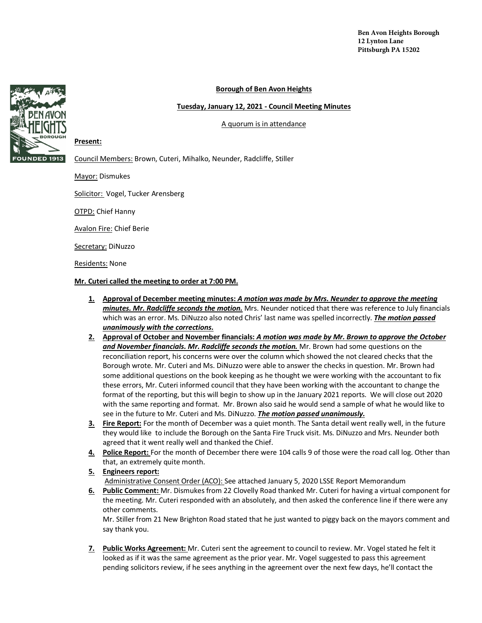#### **Borough of Ben Avon Heights**

#### **Tuesday, January 12, 2021 - Council Meeting Minutes**

A quorum is in attendance



#### **Present:**

Council Members: Brown, Cuteri, Mihalko, Neunder, Radcliffe, Stiller

Mayor: Dismukes

Solicitor: Vogel, Tucker Arensberg

OTPD: Chief Hanny

Avalon Fire: Chief Berie

Secretary: DiNuzzo

Residents: None

**Mr. Cuteri called the meeting to order at 7:00 PM.** 

- **1. Approval of December meeting minutes:** *A motion was made by Mrs. Neunder to approve the meeting minutes. Mr. Radcliffe seconds the motion.* Mrs. Neunder noticed that there was reference to July financials which was an error. Ms. DiNuzzo also noted Chris' last name was spelled incorrectly. *The motion passed unanimously with the corrections.*
- **2. Approval of October and November financials:** *A motion was made by Mr. Brown to approve the October and November financials. Mr. Radcliffe seconds the motion.* Mr. Brown had some questions on the reconciliation report, his concerns were over the column which showed the not cleared checks that the Borough wrote. Mr. Cuteri and Ms. DiNuzzo were able to answer the checks in question. Mr. Brown had some additional questions on the book keeping as he thought we were working with the accountant to fix these errors, Mr. Cuteri informed council that they have been working with the accountant to change the format of the reporting, but this will begin to show up in the January 2021 reports. We will close out 2020 with the same reporting and format. Mr. Brown also said he would send a sample of what he would like to see in the future to Mr. Cuteri and Ms. DiNuzzo. *The motion passed unanimously.*
- **3. Fire Report:** For the month of December was a quiet month. The Santa detail went really well, in the future they would like to include the Borough on the Santa Fire Truck visit. Ms. DiNuzzo and Mrs. Neunder both agreed that it went really well and thanked the Chief.
- **4. Police Report:** For the month of December there were 104 calls 9 of those were the road call log. Other than that, an extremely quite month.
- **5. Engineers report:**

Administrative Consent Order (ACO): See attached January 5, 2020 LSSE Report Memorandum

**6. Public Comment:** Mr. Dismukes from 22 Clovelly Road thanked Mr. Cuteri for having a virtual component for the meeting. Mr. Cuteri responded with an absolutely, and then asked the conference line if there were any other comments.

Mr. Stiller from 21 New Brighton Road stated that he just wanted to piggy back on the mayors comment and say thank you.

**7. Public Works Agreement:** Mr. Cuteri sent the agreement to council to review. Mr. Vogel stated he felt it looked as if it was the same agreement as the prior year. Mr. Vogel suggested to pass this agreement pending solicitors review, if he sees anything in the agreement over the next few days, he'll contact the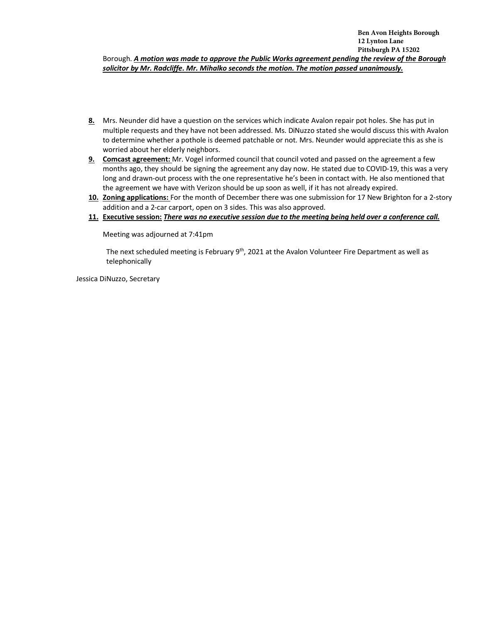- **8.** Mrs. Neunder did have a question on the services which indicate Avalon repair pot holes. She has put in multiple requests and they have not been addressed. Ms. DiNuzzo stated she would discuss this with Avalon to determine whether a pothole is deemed patchable or not. Mrs. Neunder would appreciate this as she is worried about her elderly neighbors.
- **9. Comcast agreement:** Mr. Vogel informed council that council voted and passed on the agreement a few months ago, they should be signing the agreement any day now. He stated due to COVID-19, this was a very long and drawn-out process with the one representative he's been in contact with. He also mentioned that the agreement we have with Verizon should be up soon as well, if it has not already expired.
- **10. Zoning applications:** For the month of December there was one submission for 17 New Brighton for a 2-story addition and a 2-car carport, open on 3 sides. This was also approved.
- **11. Executive session:** *There was no executive session due to the meeting being held over a conference call.*

Meeting was adjourned at 7:41pm

The next scheduled meeting is February  $9<sup>th</sup>$ , 2021 at the Avalon Volunteer Fire Department as well as telephonically

Jessica DiNuzzo, Secretary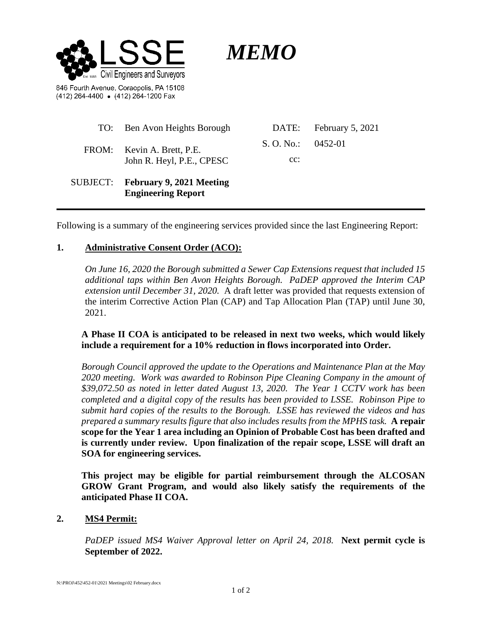

*MEMO*

846 Fourth Avenue, Coraopolis, PA 15108 (412) 264-4400 . (412) 264-1200 Fax

|          | TO: Ben Avon Heights Borough                                 | DATE:                 | <b>February 5, 2021</b> |
|----------|--------------------------------------------------------------|-----------------------|-------------------------|
|          | FROM: Kevin A. Brett, P.E.<br>John R. Heyl, P.E., CPESC      | S. O. No.: $0.452-01$ |                         |
|          |                                                              | $cc$ :                |                         |
| SUBJECT: | <b>February 9, 2021 Meeting</b><br><b>Engineering Report</b> |                       |                         |

Following is a summary of the engineering services provided since the last Engineering Report:

## **1. Administrative Consent Order (ACO):**

*On June 16, 2020 the Borough submitted a Sewer Cap Extensions request that included 15 additional taps within Ben Avon Heights Borough. PaDEP approved the Interim CAP extension until December 31, 2020.* A draft letter was provided that requests extension of the interim Corrective Action Plan (CAP) and Tap Allocation Plan (TAP) until June 30, 2021.

## **A Phase II COA is anticipated to be released in next two weeks, which would likely include a requirement for a 10% reduction in flows incorporated into Order.**

*Borough Council approved the update to the Operations and Maintenance Plan at the May 2020 meeting. Work was awarded to Robinson Pipe Cleaning Company in the amount of \$39,072.50 as noted in letter dated August 13, 2020.**The Year 1 CCTV work has been completed and a digital copy of the results has been provided to LSSE. Robinson Pipe to submit hard copies of the results to the Borough. LSSE has reviewed the videos and has prepared a summary results figure that also includes results from the MPHS task.* **A repair scope for the Year 1 area including an Opinion of Probable Cost has been drafted and is currently under review. Upon finalization of the repair scope, LSSE will draft an SOA for engineering services.** 

**This project may be eligible for partial reimbursement through the ALCOSAN GROW Grant Program, and would also likely satisfy the requirements of the anticipated Phase II COA.**

## **2. MS4 Permit:**

*PaDEP issued MS4 Waiver Approval letter on April 24, 2018.* **Next permit cycle is September of 2022.**